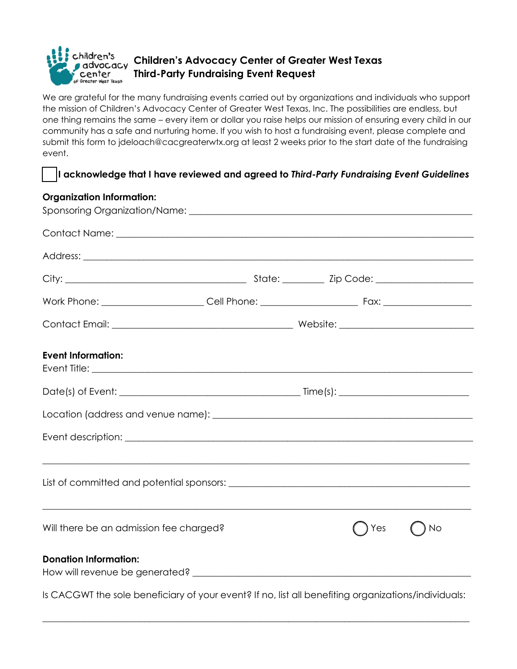

We are grateful for the many fundraising events carried out by organizations and individuals who support the mission of Children's Advocacy Center of Greater West Texas, Inc. The possibilities are endless, but one thing remains the same – every item or dollar you raise helps our mission of ensuring every child in our community has a safe and nurturing home. If you wish to host a fundraising event, please complete and submit this form to jdeloach@cacgreaterwtx.org at least 2 weeks prior to the start date of the fundraising event.

## **I acknowledge that I have reviewed and agreed to** *Third-Party Fundraising Event Guidelines*

## **Organization Information:**

| <b>Event Information:</b>                                                                           |  |     |                                                             |
|-----------------------------------------------------------------------------------------------------|--|-----|-------------------------------------------------------------|
|                                                                                                     |  |     |                                                             |
|                                                                                                     |  |     |                                                             |
|                                                                                                     |  |     |                                                             |
|                                                                                                     |  |     |                                                             |
| Will there be an admission fee charged?                                                             |  | Yes | <u> 1989 - Johann John Stein, markazi bashkar (</u><br>◯ No |
| <b>Donation Information:</b>                                                                        |  |     |                                                             |
| Is CACGWT the sole beneficiary of your event? If no, list all benefiting organizations/individuals: |  |     |                                                             |

\_\_\_\_\_\_\_\_\_\_\_\_\_\_\_\_\_\_\_\_\_\_\_\_\_\_\_\_\_\_\_\_\_\_\_\_\_\_\_\_\_\_\_\_\_\_\_\_\_\_\_\_\_\_\_\_\_\_\_\_\_\_\_\_\_\_\_\_\_\_\_\_\_\_\_\_\_\_\_\_\_\_\_\_\_\_\_\_\_\_\_\_